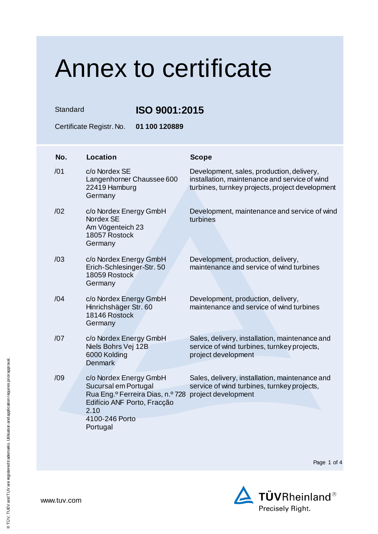Standard **ISO 9001:2015**

Certificate Registr. No. **01 100 120889**

| No. | <b>Location</b>                                                                                                                                         | <b>Scope</b>                                                                                                                                  |
|-----|---------------------------------------------------------------------------------------------------------------------------------------------------------|-----------------------------------------------------------------------------------------------------------------------------------------------|
| /01 | c/o Nordex SE<br>Langenhorner Chaussee 600<br>22419 Hamburg<br>Germany                                                                                  | Development, sales, production, delivery,<br>installation, maintenance and service of wind<br>turbines, turnkey projects, project development |
| /02 | c/o Nordex Energy GmbH<br>Nordex SE<br>Am Vögenteich 23<br>18057 Rostock<br>Germany                                                                     | Development, maintenance and service of wind<br>turbines                                                                                      |
| /03 | c/o Nordex Energy GmbH<br>Erich-Schlesinger-Str. 50<br>18059 Rostock<br>Germany                                                                         | Development, production, delivery,<br>maintenance and service of wind turbines                                                                |
| /04 | c/o Nordex Energy GmbH<br>Hinrichshäger Str. 60<br>18146 Rostock<br>Germany                                                                             | Development, production, delivery,<br>maintenance and service of wind turbines                                                                |
| /07 | c/o Nordex Energy GmbH<br>Niels Bohrs Vej 12B<br>6000 Kolding<br><b>Denmark</b>                                                                         | Sales, delivery, installation, maintenance and<br>service of wind turbines, turnkey projects,<br>project development                          |
| /09 | c/o Nordex Energy GmbH<br>Sucursal em Portugal<br>Rua Eng. <sup>o</sup> Ferreira Dias, n.º 728<br>Edifício ANF Porto, Fracção<br>2.10<br>4100-246 Porto | Sales, delivery, installation, maintenance and<br>service of wind turbines, turnkey projects,<br>project development                          |
|     | Portugal                                                                                                                                                |                                                                                                                                               |

Page 1 of 4

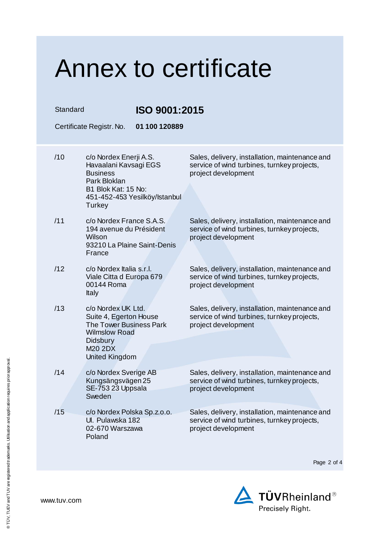| Standard |                                                                                                                                                        | ISO 9001:2015                 |                                                                                                                      |  |
|----------|--------------------------------------------------------------------------------------------------------------------------------------------------------|-------------------------------|----------------------------------------------------------------------------------------------------------------------|--|
|          | Certificate Registr. No.                                                                                                                               | 01 100 120889                 |                                                                                                                      |  |
| /10      | c/o Nordex Enerji A.S.<br>Havaalani Kavsagi EGS<br><b>Business</b><br>Park Bloklan<br>B1 Blok Kat: 15 No:<br>Turkey                                    | 451-452-453 Yesilköy/Istanbul | Sales, delivery, installation, maintenance and<br>service of wind turbines, turnkey projects,<br>project development |  |
| /11      | c/o Nordex France S.A.S.<br>194 avenue du Président<br>Wilson<br>93210 La Plaine Saint-Denis<br>France                                                 |                               | Sales, delivery, installation, maintenance and<br>service of wind turbines, turnkey projects,<br>project development |  |
| /12      | c/o Nordex Italia s.r.l.<br>Viale Citta d Europa 679<br>00144 Roma<br>Italy                                                                            |                               | Sales, delivery, installation, maintenance and<br>service of wind turbines, turnkey projects,<br>project development |  |
| /13      | c/o Nordex UK Ltd.<br>Suite 4, Egerton House<br>The Tower Business Park<br><b>Wilmslow Road</b><br><b>Didsbury</b><br>M20 2DX<br><b>United Kingdom</b> |                               | Sales, delivery, installation, maintenance and<br>service of wind turbines, turnkey projects,<br>project development |  |
| /14      | c/o Nordex Sverige AB<br>Kungsängsvägen 25<br>SE-753 23 Uppsala<br>Sweden                                                                              |                               | Sales, delivery, installation, maintenance and<br>service of wind turbines, turnkey projects,<br>project development |  |
| /15      | c/o Nordex Polska Sp.z.o.o.<br>Ul. Pulawska 182<br>02-670 Warszawa<br>Poland                                                                           |                               | Sales, delivery, installation, maintenance and<br>service of wind turbines, turnkey projects,<br>project development |  |

Page 2 of 4

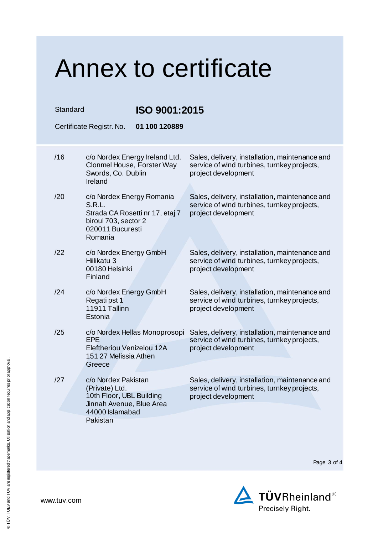| Standard | <b>ISO 9001:2015</b><br>01 100 120889<br>Certificate Registr. No.                                                             |                                                                                                                      |
|----------|-------------------------------------------------------------------------------------------------------------------------------|----------------------------------------------------------------------------------------------------------------------|
| /16      | c/o Nordex Energy Ireland Ltd.<br>Clonmel House, Forster Way<br>Swords, Co. Dublin<br>Ireland                                 | Sales, delivery, installation, maintenance and<br>service of wind turbines, turnkey projects,<br>project development |
| /20      | c/o Nordex Energy Romania<br>S.R.L.<br>Strada CA Rosetti nr 17, etaj 7<br>biroul 703, sector 2<br>020011 Bucuresti<br>Romania | Sales, delivery, installation, maintenance and<br>service of wind turbines, turnkey projects,<br>project development |
| /22      | c/o Nordex Energy GmbH<br>Hiilikatu 3<br>00180 Helsinki<br>Finland                                                            | Sales, delivery, installation, maintenance and<br>service of wind turbines, turnkey projects,<br>project development |
| /24      | c/o Nordex Energy GmbH<br>Regati pst 1<br>11911 Tallinn<br>Estonia                                                            | Sales, delivery, installation, maintenance and<br>service of wind turbines, turnkey projects,<br>project development |
| /25      | c/o Nordex Hellas Monoprosopi<br><b>EPE</b><br>Eleftheriou Venizelou 12A<br>151 27 Melissia Athen<br>Greece                   | Sales, delivery, installation, maintenance and<br>service of wind turbines, turnkey projects,<br>project development |
| /27      | c/o Nordex Pakistan<br>(Private) Ltd.<br>10th Floor, UBL Building<br>Jinnah Avenue, Blue Area<br>44000 Islamabad<br>Pakistan  | Sales, delivery, installation, maintenance and<br>service of wind turbines, turnkey projects,<br>project development |

Page 3 of 4